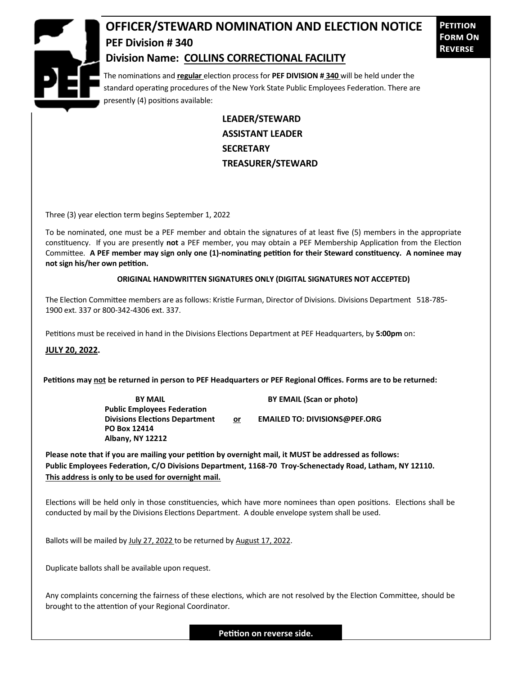

## **OFFICER/STEWARD NOMINATION AND ELECTION NOTICE PEF Division # 340**

**Petition Form On Reverse**

## **Division Name: COLLINS CORRECTIONAL FACILITY**

The nominations and **regular** election process for **PEF DIVISION # 340** will be held under the standard operating procedures of the New York State Public Employees Federation. There are presently (4) positions available:

> **LEADER/STEWARD ASSISTANT LEADER SECRETARY TREASURER/STEWARD**

Three (3) year election term begins September 1, 2022

To be nominated, one must be a PEF member and obtain the signatures of at least five (5) members in the appropriate constituency. If you are presently **not** a PEF member, you may obtain a PEF Membership Application from the Election Committee. **A PEF member may sign only one (1)-nominating petition for their Steward constituency. A nominee may not sign his/her own petition.**

## **ORIGINAL HANDWRITTEN SIGNATURES ONLY (DIGITAL SIGNATURES NOT ACCEPTED)**

The Election Committee members are as follows: Kristie Furman, Director of Divisions. Divisions Department 518-785- 1900 ext. 337 or 800-342-4306 ext. 337.

Petitions must be received in hand in the Divisions Elections Department at PEF Headquarters, by **5:00pm** on:

**JULY 20, 2022.**

**Petitions may not be returned in person to PEF Headquarters or PEF Regional Offices. Forms are to be returned:**

**Public Employees Federation PO Box 12414 Albany, NY 12212**

**BY MAIL BY EMAIL (Scan or photo)** 

Divisions Elections Department or **EMAILED TO: DIVISIONS@PEF.ORG** 

**Please note that if you are mailing your petition by overnight mail, it MUST be addressed as follows: Public Employees Federation, C/O Divisions Department, 1168-70 Troy-Schenectady Road, Latham, NY 12110. This address is only to be used for overnight mail.**

Elections will be held only in those constituencies, which have more nominees than open positions. Elections shall be conducted by mail by the Divisions Elections Department. A double envelope system shall be used.

Ballots will be mailed by July 27, 2022 to be returned by August 17, 2022.

Duplicate ballots shall be available upon request.

Any complaints concerning the fairness of these elections, which are not resolved by the Election Committee, should be brought to the attention of your Regional Coordinator.

**Petition on reverse side.**